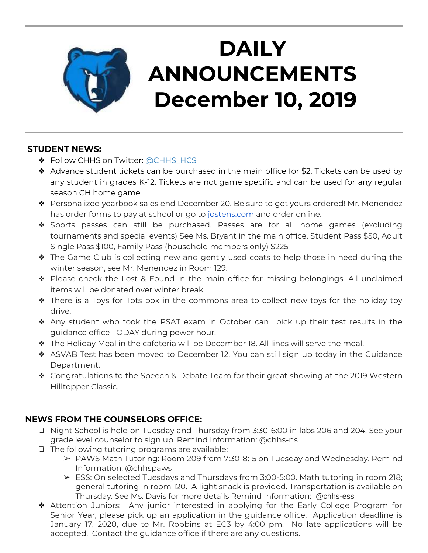

# **DAILY ANNOUNCEMENTS December 10, 2019**

### **STUDENT NEWS:**

- ❖ Follow CHHS on Twitter: [@CHHS\\_HCS](https://twitter.com/CHHS_HCS)
- ❖ Advance student tickets can be purchased in the main office for \$2. Tickets can be used by any student in grades K-12. Tickets are not game specific and can be used for any regular season CH home game.
- ❖ Personalized yearbook sales end December 20. Be sure to get yours ordered! Mr. Menendez has order forms to pay at school or go to [jostens.com](http://jostens.com/) and order online.
- ❖ Sports passes can still be purchased. Passes are for all home games (excluding tournaments and special events) See Ms. Bryant in the main office. Student Pass \$50, Adult Single Pass \$100, Family Pass (household members only) \$225
- ❖ The Game Club is collecting new and gently used coats to help those in need during the winter season, see Mr. Menendez in Room 129.
- ❖ Please check the Lost & Found in the main office for missing belongings. All unclaimed items will be donated over winter break.
- ❖ There is a Toys for Tots box in the commons area to collect new toys for the holiday toy drive.
- ❖ Any student who took the PSAT exam in October can pick up their test results in the guidance office TODAY during power hour.
- ❖ The Holiday Meal in the cafeteria will be December 18. All lines will serve the meal.
- ❖ ASVAB Test has been moved to December 12. You can still sign up today in the Guidance Department.
- ❖ Congratulations to the Speech & Debate Team for their great showing at the 2019 Western Hilltopper Classic.

### **NEWS FROM THE COUNSELORS OFFICE:**

- ❏ Night School is held on Tuesday and Thursday from 3:30-6:00 in labs 206 and 204. See your grade level counselor to sign up. Remind Information: @chhs-ns
- ❏ The following tutoring programs are available:
	- ➢ PAWS Math Tutoring: Room 209 from 7:30-8:15 on Tuesday and Wednesday. Remind Information: @chhspaws
	- $\triangleright$  ESS: On selected Tuesdays and Thursdays from 3:00-5:00. Math tutoring in room 218; general tutoring in room 120. A light snack is provided. Transportation is available on Thursday. See Ms. Davis for more details Remind Information: @chhs-ess
- ❖ Attention Juniors: Any junior interested in applying for the Early College Program for Senior Year, please pick up an application in the guidance office. Application deadline is January 17, 2020, due to Mr. Robbins at EC3 by 4:00 pm. No late applications will be accepted. Contact the guidance office if there are any questions.